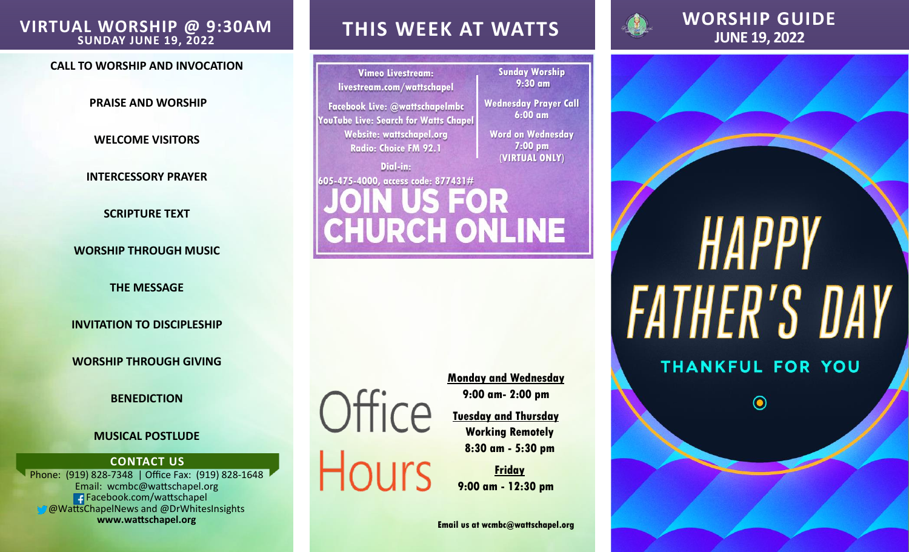## **JUNE 19, 2022 VIRTUAL WORSHIP @ 9:30AM SUNDAY JUNE 19, 2022**

#### **CALL TO WORSHIP AND INVOCATION**

**PRAISE AND WORSHIP** 

**WELCOME VISITORS**

**INTERCESSORY PRAYER**

**SCRIPTURE TEXT**

**WORSHIP THROUGH MUSIC**

**THE MESSAGE**

**INVITATION TO DISCIPLESHIP**

**WORSHIP THROUGH GIVING**

### **BENEDICTION**

#### **MUSICAL POSTLUDE**

#### **CONTACT US**

Phone: (919) 828-7348 | Office Fax: (919) 828-1648 Email: wcmbc@wattschapel.org Facebook.com/wattschapel **@WattsChapelNews and @DrWhitesInsights www.wattschapel.org**

## **THIS WEEK AT WATTS**

**Vimeo Livestream: livestream.com/wattschapel**

**Facebook Live: @wattschapelmbc YouTube Live: Search for Watts Chapel Website: wattschapel.org Radio: Choice FM 92.1**

## **Dial-in: 605-475-4000, access code: 877431#** US FOR CHURCH ONLINE

Office **Hours**  **Monday and Wednesday 9:00 am- 2:00 pm**

**Sunday Worship 9:30 am**

**Wednesday Prayer Call 6:00 am**

**Word on Wednesday 7:00 pm (VIRTUAL ONLY)** 

**Tuesday and Thursday Working Remotely 8:30 am - 5:30 pm**

**Friday 9:00 am - 12:30 pm**

**Email us at wcmbc@wattschapel.org**



# **WORSHIP GUIDE**